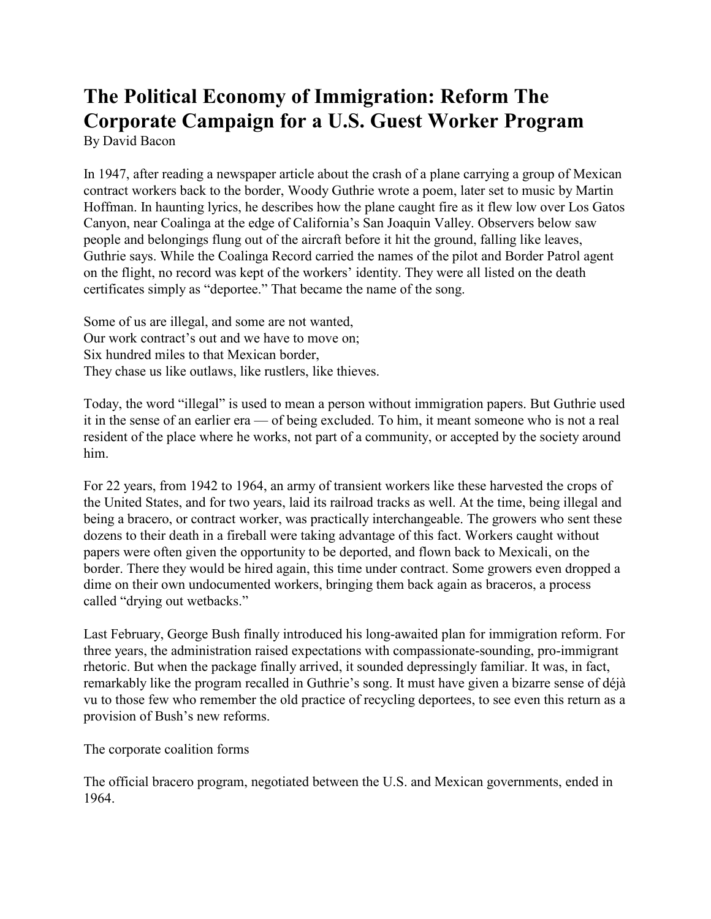## **The Political Economy of Immigration: Reform The Corporate Campaign for a U.S. Guest Worker Program** By David Bacon

In 1947, after reading a newspaper article about the crash of a plane carrying a group of Mexican contract workers back to the border, Woody Guthrie wrote a poem, later set to music by Martin Hoffman. In haunting lyrics, he describes how the plane caught fire as it flew low over Los Gatos Canyon, near Coalinga at the edge of California's San Joaquin Valley. Observers below saw people and belongings flung out of the aircraft before it hit the ground, falling like leaves, Guthrie says. While the Coalinga Record carried the names of the pilot and Border Patrol agent on the flight, no record was kept of the workers' identity. They were all listed on the death certificates simply as "deportee." That became the name of the song.

Some of us are illegal, and some are not wanted, Our work contract's out and we have to move on; Six hundred miles to that Mexican border, They chase us like outlaws, like rustlers, like thieves.

Today, the word "illegal" is used to mean a person without immigration papers. But Guthrie used it in the sense of an earlier era — of being excluded. To him, it meant someone who is not a real resident of the place where he works, not part of a community, or accepted by the society around him.

For 22 years, from 1942 to 1964, an army of transient workers like these harvested the crops of the United States, and for two years, laid its railroad tracks as well. At the time, being illegal and being a bracero, or contract worker, was practically interchangeable. The growers who sent these dozens to their death in a fireball were taking advantage of this fact. Workers caught without papers were often given the opportunity to be deported, and flown back to Mexicali, on the border. There they would be hired again, this time under contract. Some growers even dropped a dime on their own undocumented workers, bringing them back again as braceros, a process called "drying out wetbacks."

Last February, George Bush finally introduced his long-awaited plan for immigration reform. For three years, the administration raised expectations with compassionate-sounding, pro-immigrant rhetoric. But when the package finally arrived, it sounded depressingly familiar. It was, in fact, remarkably like the program recalled in Guthrie's song. It must have given a bizarre sense of déjà vu to those few who remember the old practice of recycling deportees, to see even this return as a provision of Bush's new reforms.

The corporate coalition forms

The official bracero program, negotiated between the U.S. and Mexican governments, ended in 1964.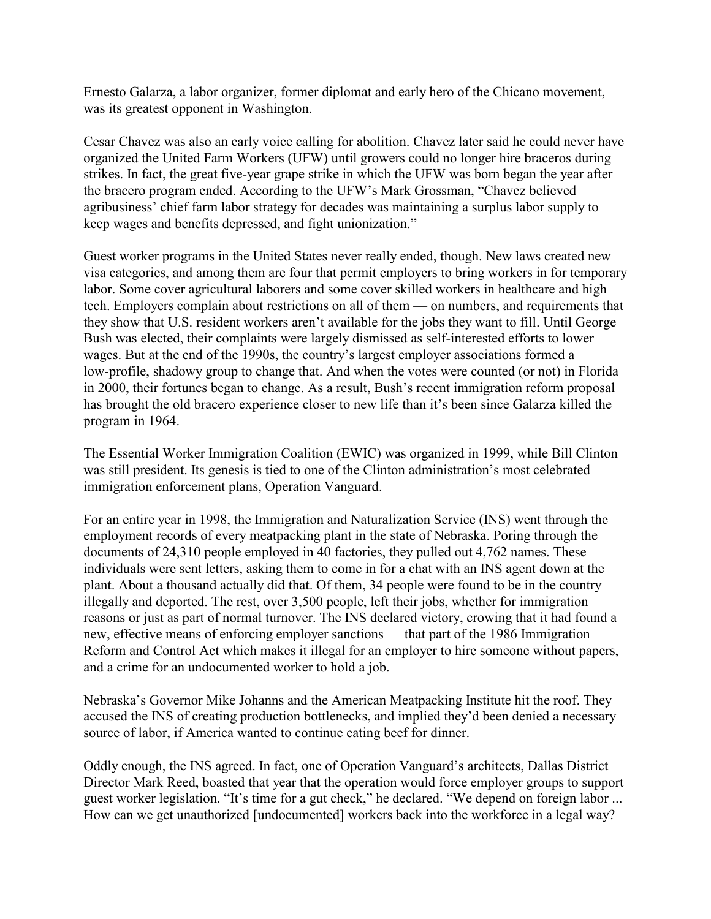Ernesto Galarza, a labor organizer, former diplomat and early hero of the Chicano movement, was its greatest opponent in Washington.

Cesar Chavez was also an early voice calling for abolition. Chavez later said he could never have organized the United Farm Workers (UFW) until growers could no longer hire braceros during strikes. In fact, the great five-year grape strike in which the UFW was born began the year after the bracero program ended. According to the UFW's Mark Grossman, "Chavez believed agribusiness' chief farm labor strategy for decades was maintaining a surplus labor supply to keep wages and benefits depressed, and fight unionization."

Guest worker programs in the United States never really ended, though. New laws created new visa categories, and among them are four that permit employers to bring workers in for temporary labor. Some cover agricultural laborers and some cover skilled workers in healthcare and high tech. Employers complain about restrictions on all of them — on numbers, and requirements that they show that U.S. resident workers aren't available for the jobs they want to fill. Until George Bush was elected, their complaints were largely dismissed as self-interested efforts to lower wages. But at the end of the 1990s, the country's largest employer associations formed a low-profile, shadowy group to change that. And when the votes were counted (or not) in Florida in 2000, their fortunes began to change. As a result, Bush's recent immigration reform proposal has brought the old bracero experience closer to new life than it's been since Galarza killed the program in 1964.

The Essential Worker Immigration Coalition (EWIC) was organized in 1999, while Bill Clinton was still president. Its genesis is tied to one of the Clinton administration's most celebrated immigration enforcement plans, Operation Vanguard.

For an entire year in 1998, the Immigration and Naturalization Service (INS) went through the employment records of every meatpacking plant in the state of Nebraska. Poring through the documents of 24,310 people employed in 40 factories, they pulled out 4,762 names. These individuals were sent letters, asking them to come in for a chat with an INS agent down at the plant. About a thousand actually did that. Of them, 34 people were found to be in the country illegally and deported. The rest, over 3,500 people, left their jobs, whether for immigration reasons or just as part of normal turnover. The INS declared victory, crowing that it had found a new, effective means of enforcing employer sanctions — that part of the 1986 Immigration Reform and Control Act which makes it illegal for an employer to hire someone without papers, and a crime for an undocumented worker to hold a job.

Nebraska's Governor Mike Johanns and the American Meatpacking Institute hit the roof. They accused the INS of creating production bottlenecks, and implied they'd been denied a necessary source of labor, if America wanted to continue eating beef for dinner.

Oddly enough, the INS agreed. In fact, one of Operation Vanguard's architects, Dallas District Director Mark Reed, boasted that year that the operation would force employer groups to support guest worker legislation. "It's time for a gut check," he declared. "We depend on foreign labor ... How can we get unauthorized [undocumented] workers back into the workforce in a legal way?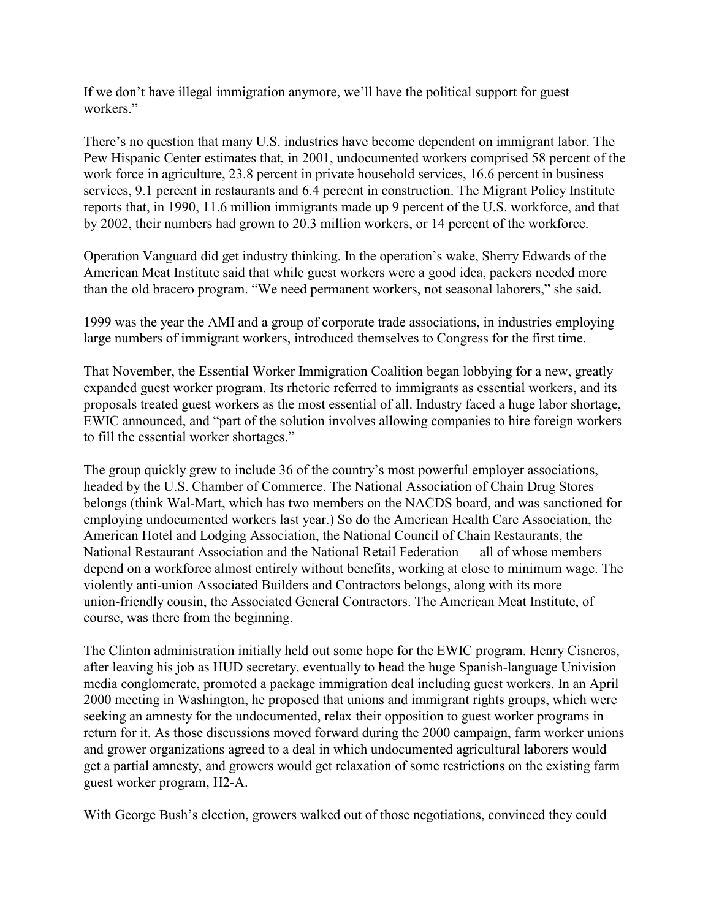If we don't have illegal immigration anymore, we'll have the political support for guest workers."

There's no question that many U.S. industries have become dependent on immigrant labor. The Pew Hispanic Center estimates that, in 2001, undocumented workers comprised 58 percent of the work force in agriculture, 23.8 percent in private household services, 16.6 percent in business services, 9.1 percent in restaurants and 6.4 percent in construction. The Migrant Policy Institute reports that, in 1990, 11.6 million immigrants made up 9 percent of the U.S. workforce, and that by 2002, their numbers had grown to 20.3 million workers, or 14 percent of the workforce.

Operation Vanguard did get industry thinking. In the operation's wake, Sherry Edwards of the American Meat Institute said that while guest workers were a good idea, packers needed more than the old bracero program. "We need permanent workers, not seasonal laborers," she said.

1999 was the year the AMI and a group of corporate trade associations, in industries employing large numbers of immigrant workers, introduced themselves to Congress for the first time.

That November, the Essential Worker Immigration Coalition began lobbying for a new, greatly expanded guest worker program. Its rhetoric referred to immigrants as essential workers, and its proposals treated guest workers as the most essential of all. Industry faced a huge labor shortage, EWIC announced, and "part of the solution involves allowing companies to hire foreign workers to fill the essential worker shortages."

The group quickly grew to include 36 of the country's most powerful employer associations, headed by the U.S. Chamber of Commerce. The National Association of Chain Drug Stores belongs (think Wal-Mart, which has two members on the NACDS board, and was sanctioned for employing undocumented workers last year.) So do the American Health Care Association, the American Hotel and Lodging Association, the National Council of Chain Restaurants, the National Restaurant Association and the National Retail Federation — all of whose members depend on a workforce almost entirely without benefits, working at close to minimum wage. The violently anti-union Associated Builders and Contractors belongs, along with its more union-friendly cousin, the Associated General Contractors. The American Meat Institute, of course, was there from the beginning.

The Clinton administration initially held out some hope for the EWIC program. Henry Cisneros, after leaving his job as HUD secretary, eventually to head the huge Spanish-language Univision media conglomerate, promoted a package immigration deal including guest workers. In an April 2000 meeting in Washington, he proposed that unions and immigrant rights groups, which were seeking an amnesty for the undocumented, relax their opposition to guest worker programs in return for it. As those discussions moved forward during the 2000 campaign, farm worker unions and grower organizations agreed to a deal in which undocumented agricultural laborers would get a partial amnesty, and growers would get relaxation of some restrictions on the existing farm guest worker program, H2-A.

With George Bush's election, growers walked out of those negotiations, convinced they could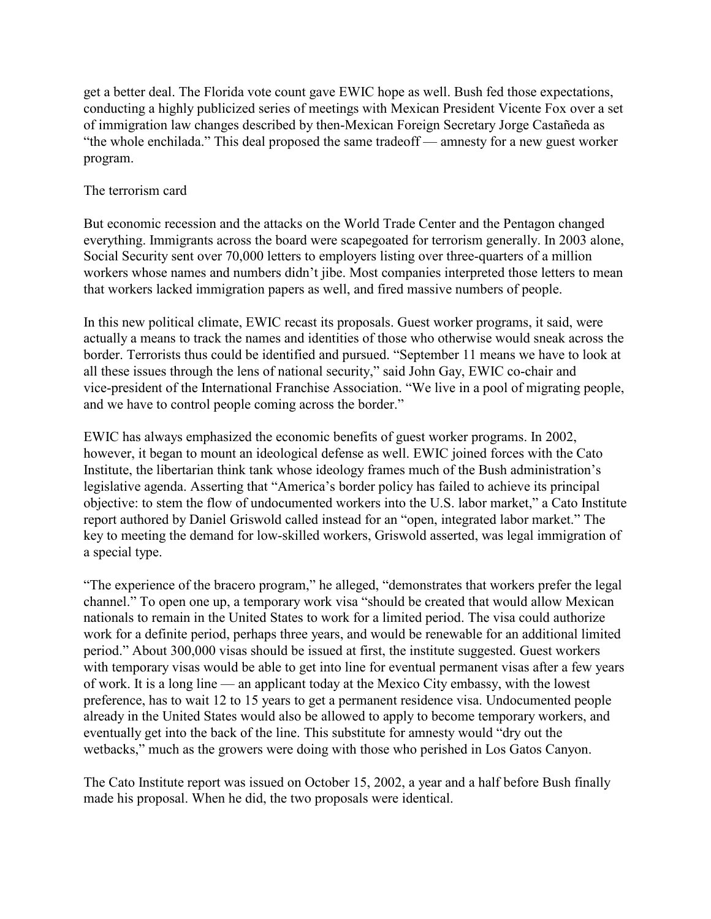get a better deal. The Florida vote count gave EWIC hope as well. Bush fed those expectations, conducting a highly publicized series of meetings with Mexican President Vicente Fox over a set of immigration law changes described by then-Mexican Foreign Secretary Jorge Castañeda as "the whole enchilada." This deal proposed the same tradeoff — amnesty for a new guest worker program.

## The terrorism card

But economic recession and the attacks on the World Trade Center and the Pentagon changed everything. Immigrants across the board were scapegoated for terrorism generally. In 2003 alone, Social Security sent over 70,000 letters to employers listing over three-quarters of a million workers whose names and numbers didn't jibe. Most companies interpreted those letters to mean that workers lacked immigration papers as well, and fired massive numbers of people.

In this new political climate, EWIC recast its proposals. Guest worker programs, it said, were actually a means to track the names and identities of those who otherwise would sneak across the border. Terrorists thus could be identified and pursued. "September 11 means we have to look at all these issues through the lens of national security," said John Gay, EWIC co-chair and vice-president of the International Franchise Association. "We live in a pool of migrating people, and we have to control people coming across the border."

EWIC has always emphasized the economic benefits of guest worker programs. In 2002, however, it began to mount an ideological defense as well. EWIC joined forces with the Cato Institute, the libertarian think tank whose ideology frames much of the Bush administration's legislative agenda. Asserting that "America's border policy has failed to achieve its principal objective: to stem the flow of undocumented workers into the U.S. labor market," a Cato Institute report authored by Daniel Griswold called instead for an "open, integrated labor market." The key to meeting the demand for low-skilled workers, Griswold asserted, was legal immigration of a special type.

"The experience of the bracero program," he alleged, "demonstrates that workers prefer the legal channel." To open one up, a temporary work visa "should be created that would allow Mexican nationals to remain in the United States to work for a limited period. The visa could authorize work for a definite period, perhaps three years, and would be renewable for an additional limited period." About 300,000 visas should be issued at first, the institute suggested. Guest workers with temporary visas would be able to get into line for eventual permanent visas after a few years of work. It is a long line — an applicant today at the Mexico City embassy, with the lowest preference, has to wait 12 to 15 years to get a permanent residence visa. Undocumented people already in the United States would also be allowed to apply to become temporary workers, and eventually get into the back of the line. This substitute for amnesty would "dry out the wetbacks," much as the growers were doing with those who perished in Los Gatos Canyon.

The Cato Institute report was issued on October 15, 2002, a year and a half before Bush finally made his proposal. When he did, the two proposals were identical.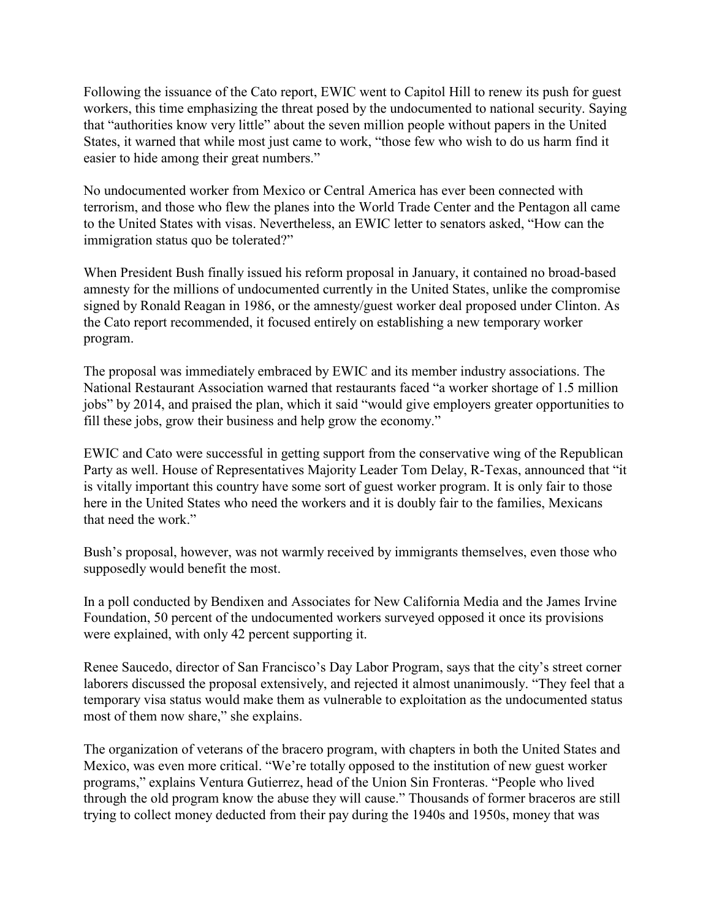Following the issuance of the Cato report, EWIC went to Capitol Hill to renew its push for guest workers, this time emphasizing the threat posed by the undocumented to national security. Saying that "authorities know very little" about the seven million people without papers in the United States, it warned that while most just came to work, "those few who wish to do us harm find it easier to hide among their great numbers."

No undocumented worker from Mexico or Central America has ever been connected with terrorism, and those who flew the planes into the World Trade Center and the Pentagon all came to the United States with visas. Nevertheless, an EWIC letter to senators asked, "How can the immigration status quo be tolerated?"

When President Bush finally issued his reform proposal in January, it contained no broad-based amnesty for the millions of undocumented currently in the United States, unlike the compromise signed by Ronald Reagan in 1986, or the amnesty/guest worker deal proposed under Clinton. As the Cato report recommended, it focused entirely on establishing a new temporary worker program.

The proposal was immediately embraced by EWIC and its member industry associations. The National Restaurant Association warned that restaurants faced "a worker shortage of 1.5 million jobs" by 2014, and praised the plan, which it said "would give employers greater opportunities to fill these jobs, grow their business and help grow the economy."

EWIC and Cato were successful in getting support from the conservative wing of the Republican Party as well. House of Representatives Majority Leader Tom Delay, R-Texas, announced that "it is vitally important this country have some sort of guest worker program. It is only fair to those here in the United States who need the workers and it is doubly fair to the families, Mexicans that need the work."

Bush's proposal, however, was not warmly received by immigrants themselves, even those who supposedly would benefit the most.

In a poll conducted by Bendixen and Associates for New California Media and the James Irvine Foundation, 50 percent of the undocumented workers surveyed opposed it once its provisions were explained, with only 42 percent supporting it.

Renee Saucedo, director of San Francisco's Day Labor Program, says that the city's street corner laborers discussed the proposal extensively, and rejected it almost unanimously. "They feel that a temporary visa status would make them as vulnerable to exploitation as the undocumented status most of them now share," she explains.

The organization of veterans of the bracero program, with chapters in both the United States and Mexico, was even more critical. "We're totally opposed to the institution of new guest worker programs," explains Ventura Gutierrez, head of the Union Sin Fronteras. "People who lived through the old program know the abuse they will cause." Thousands of former braceros are still trying to collect money deducted from their pay during the 1940s and 1950s, money that was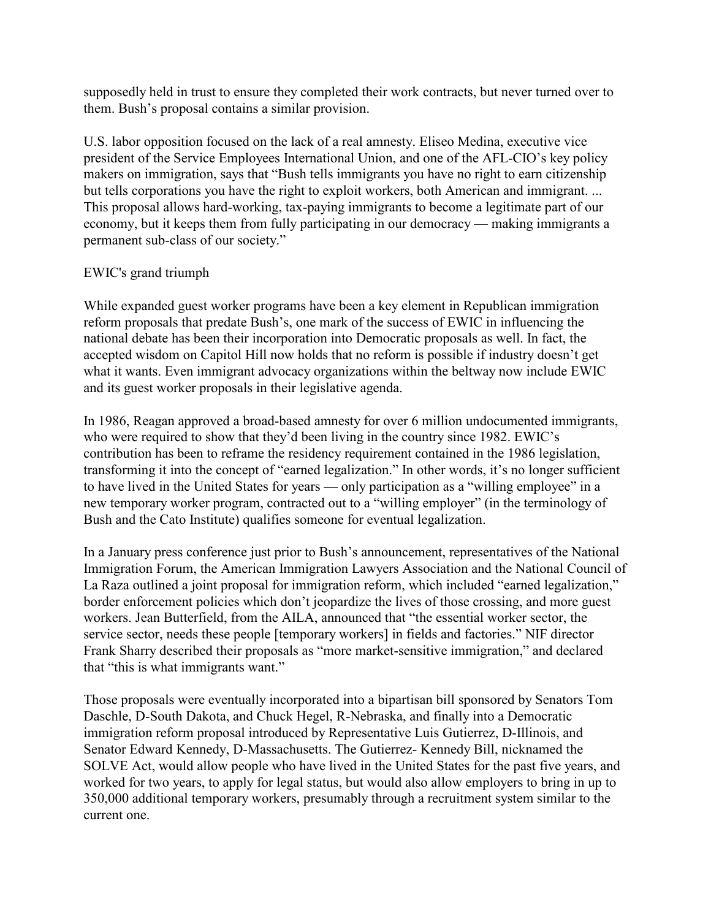supposedly held in trust to ensure they completed their work contracts, but never turned over to them. Bush's proposal contains a similar provision.

U.S. labor opposition focused on the lack of a real amnesty. Eliseo Medina, executive vice president of the Service Employees International Union, and one of the AFL-CIO's key policy makers on immigration, says that "Bush tells immigrants you have no right to earn citizenship but tells corporations you have the right to exploit workers, both American and immigrant. ... This proposal allows hard-working, tax-paying immigrants to become a legitimate part of our economy, but it keeps them from fully participating in our democracy — making immigrants a permanent sub-class of our society."

## EWIC's grand triumph

While expanded guest worker programs have been a key element in Republican immigration reform proposals that predate Bush's, one mark of the success of EWIC in influencing the national debate has been their incorporation into Democratic proposals as well. In fact, the accepted wisdom on Capitol Hill now holds that no reform is possible if industry doesn't get what it wants. Even immigrant advocacy organizations within the beltway now include EWIC and its guest worker proposals in their legislative agenda.

In 1986, Reagan approved a broad-based amnesty for over 6 million undocumented immigrants, who were required to show that they'd been living in the country since 1982. EWIC's contribution has been to reframe the residency requirement contained in the 1986 legislation, transforming it into the concept of "earned legalization." In other words, it's no longer sufficient to have lived in the United States for years — only participation as a "willing employee" in a new temporary worker program, contracted out to a "willing employer" (in the terminology of Bush and the Cato Institute) qualifies someone for eventual legalization.

In a January press conference just prior to Bush's announcement, representatives of the National Immigration Forum, the American Immigration Lawyers Association and the National Council of La Raza outlined a joint proposal for immigration reform, which included "earned legalization," border enforcement policies which don't jeopardize the lives of those crossing, and more guest workers. Jean Butterfield, from the AILA, announced that "the essential worker sector, the service sector, needs these people [temporary workers] in fields and factories." NIF director Frank Sharry described their proposals as "more market-sensitive immigration," and declared that "this is what immigrants want."

Those proposals were eventually incorporated into a bipartisan bill sponsored by Senators Tom Daschle, D-South Dakota, and Chuck Hegel, R-Nebraska, and finally into a Democratic immigration reform proposal introduced by Representative Luis Gutierrez, D-Illinois, and Senator Edward Kennedy, D-Massachusetts. The Gutierrez- Kennedy Bill, nicknamed the SOLVE Act, would allow people who have lived in the United States for the past five years, and worked for two years, to apply for legal status, but would also allow employers to bring in up to 350,000 additional temporary workers, presumably through a recruitment system similar to the current one.